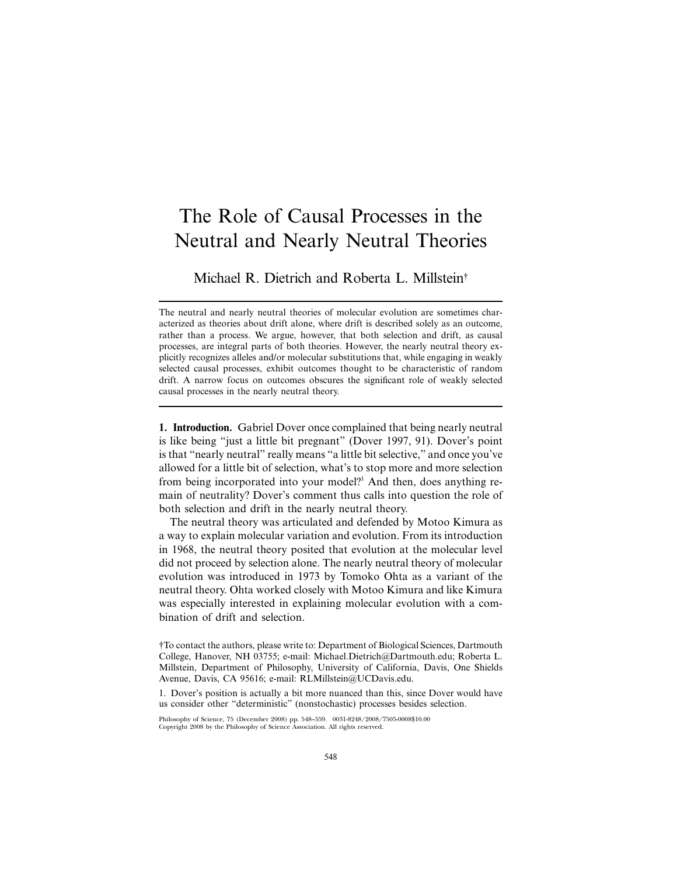## The Role of Causal Processes in the Neutral and Nearly Neutral Theories

Michael R. Dietrich and Roberta L. Millstein†

The neutral and nearly neutral theories of molecular evolution are sometimes characterized as theories about drift alone, where drift is described solely as an outcome, rather than a process. We argue, however, that both selection and drift, as causal processes, are integral parts of both theories. However, the nearly neutral theory explicitly recognizes alleles and/or molecular substitutions that, while engaging in weakly selected causal processes, exhibit outcomes thought to be characteristic of random drift. A narrow focus on outcomes obscures the significant role of weakly selected causal processes in the nearly neutral theory.

**1. Introduction.** Gabriel Dover once complained that being nearly neutral is like being "just a little bit pregnant" (Dover 1997, 91). Dover's point is that "nearly neutral" really means "a little bit selective," and once you've allowed for a little bit of selection, what's to stop more and more selection from being incorporated into your model?<sup>1</sup> And then, does anything remain of neutrality? Dover's comment thus calls into question the role of both selection and drift in the nearly neutral theory.

The neutral theory was articulated and defended by Motoo Kimura as a way to explain molecular variation and evolution. From its introduction in 1968, the neutral theory posited that evolution at the molecular level did not proceed by selection alone. The nearly neutral theory of molecular evolution was introduced in 1973 by Tomoko Ohta as a variant of the neutral theory. Ohta worked closely with Motoo Kimura and like Kimura was especially interested in explaining molecular evolution with a combination of drift and selection.

<sup>†</sup>To contact the authors, please write to: Department of Biological Sciences, Dartmouth College, Hanover, NH 03755; e-mail: Michael.Dietrich@Dartmouth.edu; Roberta L. Millstein, Department of Philosophy, University of California, Davis, One Shields Avenue, Davis, CA 95616; e-mail: RLMillstein@UCDavis.edu.

<sup>1.</sup> Dover's position is actually a bit more nuanced than this, since Dover would have us consider other "deterministic" (nonstochastic) processes besides selection.

Philosophy of Science, 75 (December 2008) pp. 548–559. 0031-8248/2008/7505-0008\$10.00 Copyright 2008 by the Philosophy of Science Association. All rights reserved.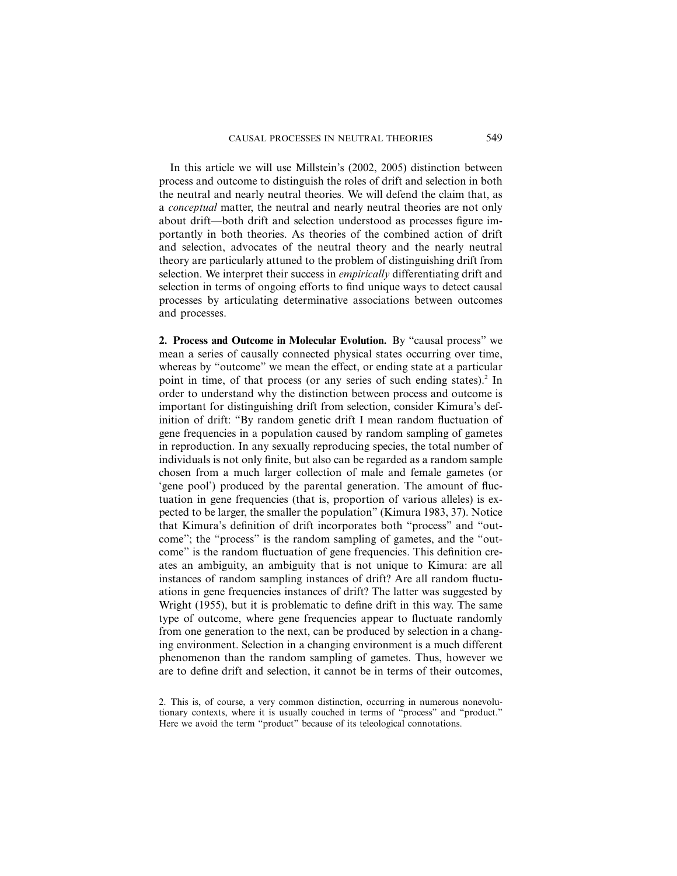In this article we will use Millstein's (2002, 2005) distinction between process and outcome to distinguish the roles of drift and selection in both the neutral and nearly neutral theories. We will defend the claim that, as a *conceptual* matter, the neutral and nearly neutral theories are not only about drift—both drift and selection understood as processes figure importantly in both theories. As theories of the combined action of drift and selection, advocates of the neutral theory and the nearly neutral theory are particularly attuned to the problem of distinguishing drift from selection. We interpret their success in *empirically* differentiating drift and selection in terms of ongoing efforts to find unique ways to detect causal processes by articulating determinative associations between outcomes and processes.

**2. Process and Outcome in Molecular Evolution.** By "causal process" we mean a series of causally connected physical states occurring over time, whereas by "outcome" we mean the effect, or ending state at a particular point in time, of that process (or any series of such ending states).<sup>2</sup> In order to understand why the distinction between process and outcome is important for distinguishing drift from selection, consider Kimura's definition of drift: "By random genetic drift I mean random fluctuation of gene frequencies in a population caused by random sampling of gametes in reproduction. In any sexually reproducing species, the total number of individuals is not only finite, but also can be regarded as a random sample chosen from a much larger collection of male and female gametes (or 'gene pool') produced by the parental generation. The amount of fluctuation in gene frequencies (that is, proportion of various alleles) is expected to be larger, the smaller the population" (Kimura 1983, 37). Notice that Kimura's definition of drift incorporates both "process" and "outcome"; the "process" is the random sampling of gametes, and the "outcome" is the random fluctuation of gene frequencies. This definition creates an ambiguity, an ambiguity that is not unique to Kimura: are all instances of random sampling instances of drift? Are all random fluctuations in gene frequencies instances of drift? The latter was suggested by Wright (1955), but it is problematic to define drift in this way. The same type of outcome, where gene frequencies appear to fluctuate randomly from one generation to the next, can be produced by selection in a changing environment. Selection in a changing environment is a much different phenomenon than the random sampling of gametes. Thus, however we are to define drift and selection, it cannot be in terms of their outcomes,

<sup>2.</sup> This is, of course, a very common distinction, occurring in numerous nonevolutionary contexts, where it is usually couched in terms of "process" and "product." Here we avoid the term "product" because of its teleological connotations.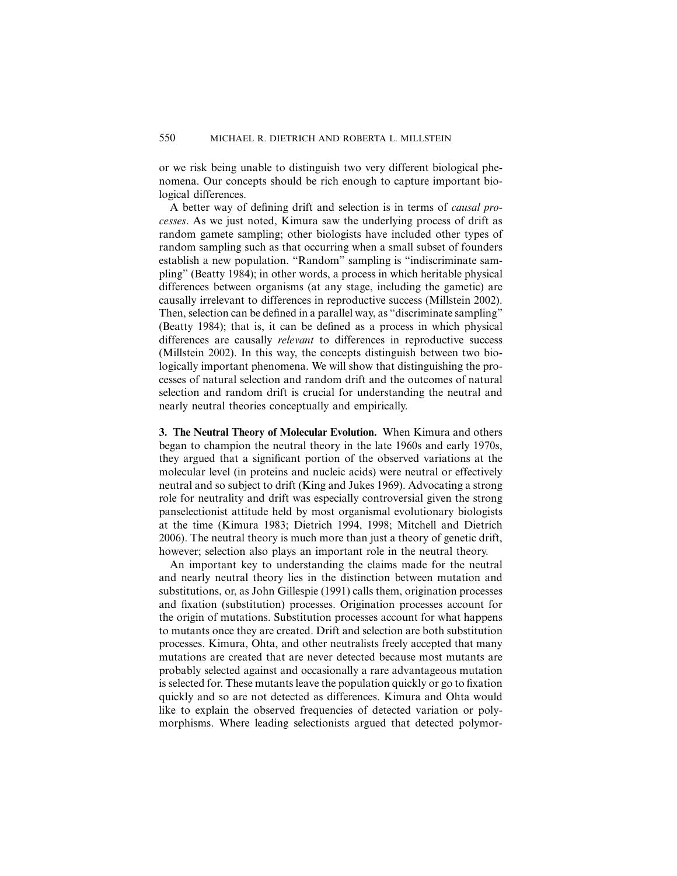or we risk being unable to distinguish two very different biological phenomena. Our concepts should be rich enough to capture important biological differences.

A better way of defining drift and selection is in terms of *causal processes*. As we just noted, Kimura saw the underlying process of drift as random gamete sampling; other biologists have included other types of random sampling such as that occurring when a small subset of founders establish a new population. "Random" sampling is "indiscriminate sampling" (Beatty 1984); in other words, a process in which heritable physical differences between organisms (at any stage, including the gametic) are causally irrelevant to differences in reproductive success (Millstein 2002). Then, selection can be defined in a parallel way, as "discriminate sampling" (Beatty 1984); that is, it can be defined as a process in which physical differences are causally *relevant* to differences in reproductive success (Millstein 2002). In this way, the concepts distinguish between two biologically important phenomena. We will show that distinguishing the processes of natural selection and random drift and the outcomes of natural selection and random drift is crucial for understanding the neutral and nearly neutral theories conceptually and empirically.

**3. The Neutral Theory of Molecular Evolution.** When Kimura and others began to champion the neutral theory in the late 1960s and early 1970s, they argued that a significant portion of the observed variations at the molecular level (in proteins and nucleic acids) were neutral or effectively neutral and so subject to drift (King and Jukes 1969). Advocating a strong role for neutrality and drift was especially controversial given the strong panselectionist attitude held by most organismal evolutionary biologists at the time (Kimura 1983; Dietrich 1994, 1998; Mitchell and Dietrich 2006). The neutral theory is much more than just a theory of genetic drift, however; selection also plays an important role in the neutral theory.

An important key to understanding the claims made for the neutral and nearly neutral theory lies in the distinction between mutation and substitutions, or, as John Gillespie (1991) calls them, origination processes and fixation (substitution) processes. Origination processes account for the origin of mutations. Substitution processes account for what happens to mutants once they are created. Drift and selection are both substitution processes. Kimura, Ohta, and other neutralists freely accepted that many mutations are created that are never detected because most mutants are probably selected against and occasionally a rare advantageous mutation is selected for. These mutants leave the population quickly or go to fixation quickly and so are not detected as differences. Kimura and Ohta would like to explain the observed frequencies of detected variation or polymorphisms. Where leading selectionists argued that detected polymor-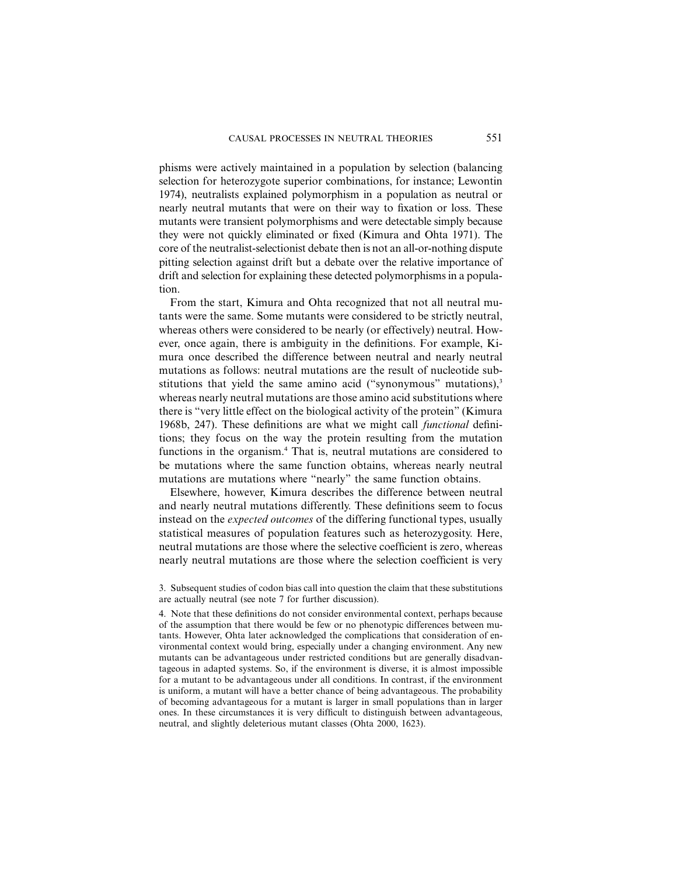phisms were actively maintained in a population by selection (balancing selection for heterozygote superior combinations, for instance; Lewontin 1974), neutralists explained polymorphism in a population as neutral or nearly neutral mutants that were on their way to fixation or loss. These mutants were transient polymorphisms and were detectable simply because they were not quickly eliminated or fixed (Kimura and Ohta 1971). The core of the neutralist-selectionist debate then is not an all-or-nothing dispute pitting selection against drift but a debate over the relative importance of drift and selection for explaining these detected polymorphisms in a population.

From the start, Kimura and Ohta recognized that not all neutral mutants were the same. Some mutants were considered to be strictly neutral, whereas others were considered to be nearly (or effectively) neutral. However, once again, there is ambiguity in the definitions. For example, Kimura once described the difference between neutral and nearly neutral mutations as follows: neutral mutations are the result of nucleotide substitutions that yield the same amino acid ("synonymous" mutations),<sup>3</sup> whereas nearly neutral mutations are those amino acid substitutions where there is "very little effect on the biological activity of the protein" (Kimura 1968b, 247). These definitions are what we might call *functional* definitions; they focus on the way the protein resulting from the mutation functions in the organism.<sup>4</sup> That is, neutral mutations are considered to be mutations where the same function obtains, whereas nearly neutral mutations are mutations where "nearly" the same function obtains.

Elsewhere, however, Kimura describes the difference between neutral and nearly neutral mutations differently. These definitions seem to focus instead on the *expected outcomes* of the differing functional types, usually statistical measures of population features such as heterozygosity. Here, neutral mutations are those where the selective coefficient is zero, whereas nearly neutral mutations are those where the selection coefficient is very

<sup>3.</sup> Subsequent studies of codon bias call into question the claim that these substitutions are actually neutral (see note 7 for further discussion).

<sup>4.</sup> Note that these definitions do not consider environmental context, perhaps because of the assumption that there would be few or no phenotypic differences between mutants. However, Ohta later acknowledged the complications that consideration of environmental context would bring, especially under a changing environment. Any new mutants can be advantageous under restricted conditions but are generally disadvantageous in adapted systems. So, if the environment is diverse, it is almost impossible for a mutant to be advantageous under all conditions. In contrast, if the environment is uniform, a mutant will have a better chance of being advantageous. The probability of becoming advantageous for a mutant is larger in small populations than in larger ones. In these circumstances it is very difficult to distinguish between advantageous, neutral, and slightly deleterious mutant classes (Ohta 2000, 1623).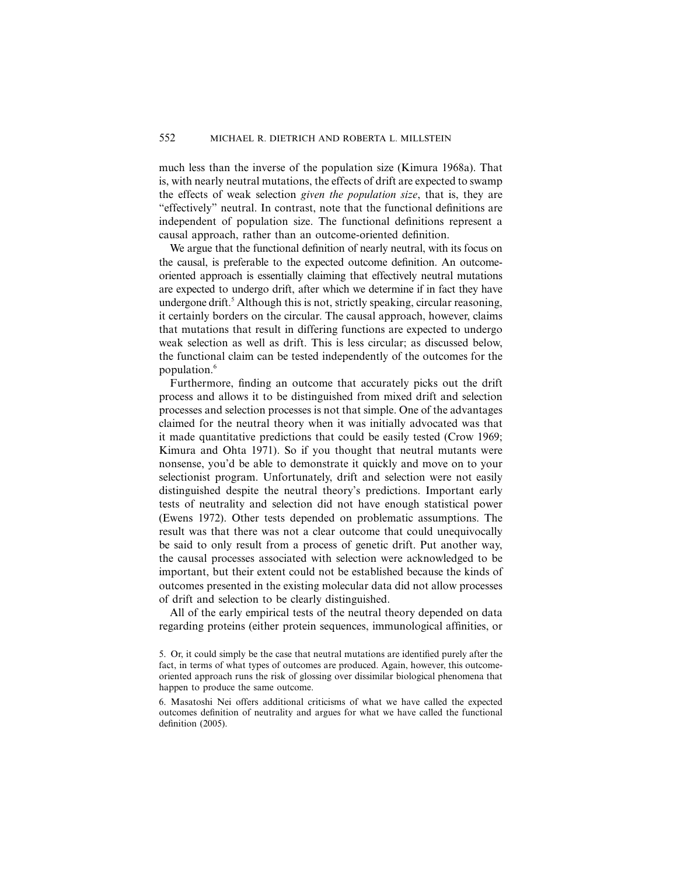much less than the inverse of the population size (Kimura 1968a). That is, with nearly neutral mutations, the effects of drift are expected to swamp the effects of weak selection *given the population size*, that is, they are "effectively" neutral. In contrast, note that the functional definitions are independent of population size. The functional definitions represent a causal approach, rather than an outcome-oriented definition.

We argue that the functional definition of nearly neutral, with its focus on the causal, is preferable to the expected outcome definition. An outcomeoriented approach is essentially claiming that effectively neutral mutations are expected to undergo drift, after which we determine if in fact they have undergone drift.<sup>5</sup> Although this is not, strictly speaking, circular reasoning, it certainly borders on the circular. The causal approach, however, claims that mutations that result in differing functions are expected to undergo weak selection as well as drift. This is less circular; as discussed below, the functional claim can be tested independently of the outcomes for the population.6

Furthermore, finding an outcome that accurately picks out the drift process and allows it to be distinguished from mixed drift and selection processes and selection processes is not that simple. One of the advantages claimed for the neutral theory when it was initially advocated was that it made quantitative predictions that could be easily tested (Crow 1969; Kimura and Ohta 1971). So if you thought that neutral mutants were nonsense, you'd be able to demonstrate it quickly and move on to your selectionist program. Unfortunately, drift and selection were not easily distinguished despite the neutral theory's predictions. Important early tests of neutrality and selection did not have enough statistical power (Ewens 1972). Other tests depended on problematic assumptions. The result was that there was not a clear outcome that could unequivocally be said to only result from a process of genetic drift. Put another way, the causal processes associated with selection were acknowledged to be important, but their extent could not be established because the kinds of outcomes presented in the existing molecular data did not allow processes of drift and selection to be clearly distinguished.

All of the early empirical tests of the neutral theory depended on data regarding proteins (either protein sequences, immunological affinities, or

<sup>5.</sup> Or, it could simply be the case that neutral mutations are identified purely after the fact, in terms of what types of outcomes are produced. Again, however, this outcomeoriented approach runs the risk of glossing over dissimilar biological phenomena that happen to produce the same outcome.

<sup>6.</sup> Masatoshi Nei offers additional criticisms of what we have called the expected outcomes definition of neutrality and argues for what we have called the functional definition (2005).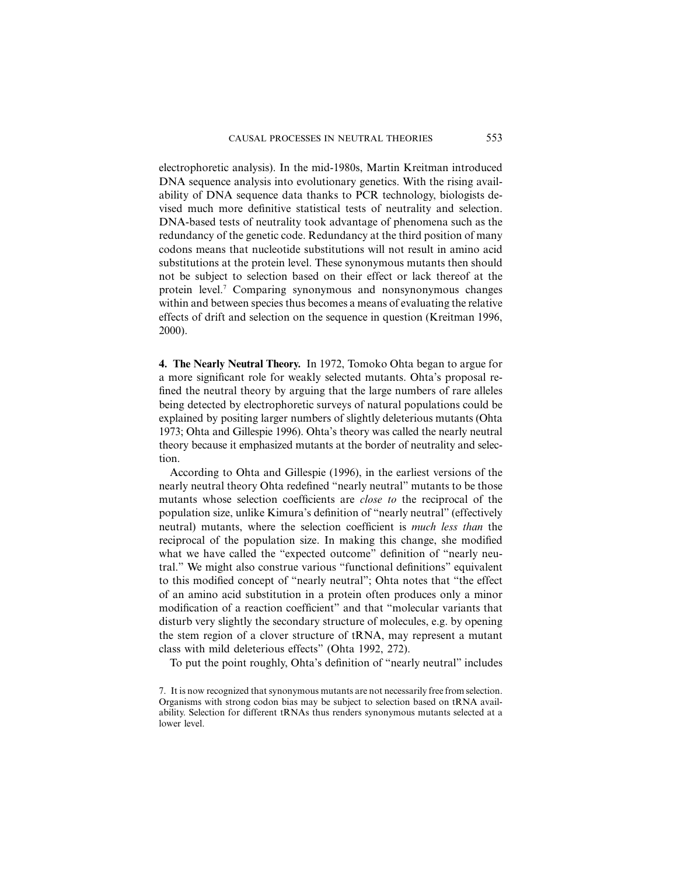electrophoretic analysis). In the mid-1980s, Martin Kreitman introduced DNA sequence analysis into evolutionary genetics. With the rising availability of DNA sequence data thanks to PCR technology, biologists devised much more definitive statistical tests of neutrality and selection. DNA-based tests of neutrality took advantage of phenomena such as the redundancy of the genetic code. Redundancy at the third position of many codons means that nucleotide substitutions will not result in amino acid substitutions at the protein level. These synonymous mutants then should not be subject to selection based on their effect or lack thereof at the protein level.7 Comparing synonymous and nonsynonymous changes within and between species thus becomes a means of evaluating the relative effects of drift and selection on the sequence in question (Kreitman 1996, 2000).

**4. The Nearly Neutral Theory.** In 1972, Tomoko Ohta began to argue for a more significant role for weakly selected mutants. Ohta's proposal refined the neutral theory by arguing that the large numbers of rare alleles being detected by electrophoretic surveys of natural populations could be explained by positing larger numbers of slightly deleterious mutants (Ohta 1973; Ohta and Gillespie 1996). Ohta's theory was called the nearly neutral theory because it emphasized mutants at the border of neutrality and selection.

According to Ohta and Gillespie (1996), in the earliest versions of the nearly neutral theory Ohta redefined "nearly neutral" mutants to be those mutants whose selection coefficients are *close to* the reciprocal of the population size, unlike Kimura's definition of "nearly neutral" (effectively neutral) mutants, where the selection coefficient is *much less than* the reciprocal of the population size. In making this change, she modified what we have called the "expected outcome" definition of "nearly neutral." We might also construe various "functional definitions" equivalent to this modified concept of "nearly neutral"; Ohta notes that "the effect of an amino acid substitution in a protein often produces only a minor modification of a reaction coefficient" and that "molecular variants that disturb very slightly the secondary structure of molecules, e.g. by opening the stem region of a clover structure of tRNA, may represent a mutant class with mild deleterious effects" (Ohta 1992, 272).

To put the point roughly, Ohta's definition of "nearly neutral" includes

<sup>7.</sup> It is now recognized that synonymous mutants are not necessarily free from selection. Organisms with strong codon bias may be subject to selection based on tRNA availability. Selection for different tRNAs thus renders synonymous mutants selected at a lower level.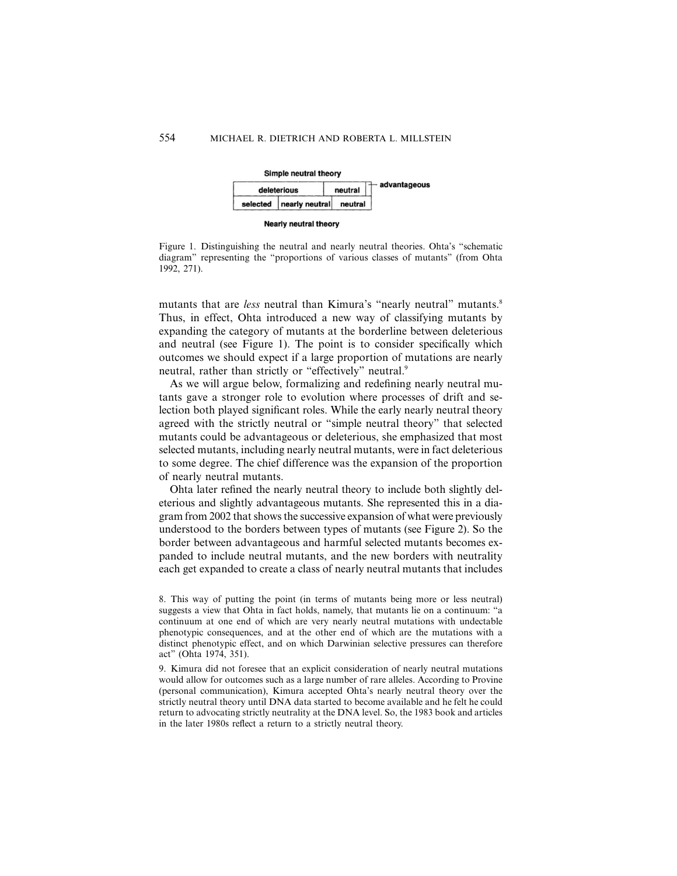

**Nearly neutral theory** 

Figure 1. Distinguishing the neutral and nearly neutral theories. Ohta's "schematic diagram" representing the "proportions of various classes of mutants" (from Ohta 1992, 271).

mutants that are *less* neutral than Kimura's "nearly neutral" mutants.<sup>8</sup> Thus, in effect, Ohta introduced a new way of classifying mutants by expanding the category of mutants at the borderline between deleterious and neutral (see Figure 1). The point is to consider specifically which outcomes we should expect if a large proportion of mutations are nearly neutral, rather than strictly or "effectively" neutral.<sup>9</sup>

As we will argue below, formalizing and redefining nearly neutral mutants gave a stronger role to evolution where processes of drift and selection both played significant roles. While the early nearly neutral theory agreed with the strictly neutral or "simple neutral theory" that selected mutants could be advantageous or deleterious, she emphasized that most selected mutants, including nearly neutral mutants, were in fact deleterious to some degree. The chief difference was the expansion of the proportion of nearly neutral mutants.

Ohta later refined the nearly neutral theory to include both slightly deleterious and slightly advantageous mutants. She represented this in a diagram from 2002 that shows the successive expansion of what were previously understood to the borders between types of mutants (see Figure 2). So the border between advantageous and harmful selected mutants becomes expanded to include neutral mutants, and the new borders with neutrality each get expanded to create a class of nearly neutral mutants that includes

<sup>8.</sup> This way of putting the point (in terms of mutants being more or less neutral) suggests a view that Ohta in fact holds, namely, that mutants lie on a continuum: "a continuum at one end of which are very nearly neutral mutations with undectable phenotypic consequences, and at the other end of which are the mutations with a distinct phenotypic effect, and on which Darwinian selective pressures can therefore act" (Ohta 1974, 351).

<sup>9.</sup> Kimura did not foresee that an explicit consideration of nearly neutral mutations would allow for outcomes such as a large number of rare alleles. According to Provine (personal communication), Kimura accepted Ohta's nearly neutral theory over the strictly neutral theory until DNA data started to become available and he felt he could return to advocating strictly neutrality at the DNA level. So, the 1983 book and articles in the later 1980s reflect a return to a strictly neutral theory.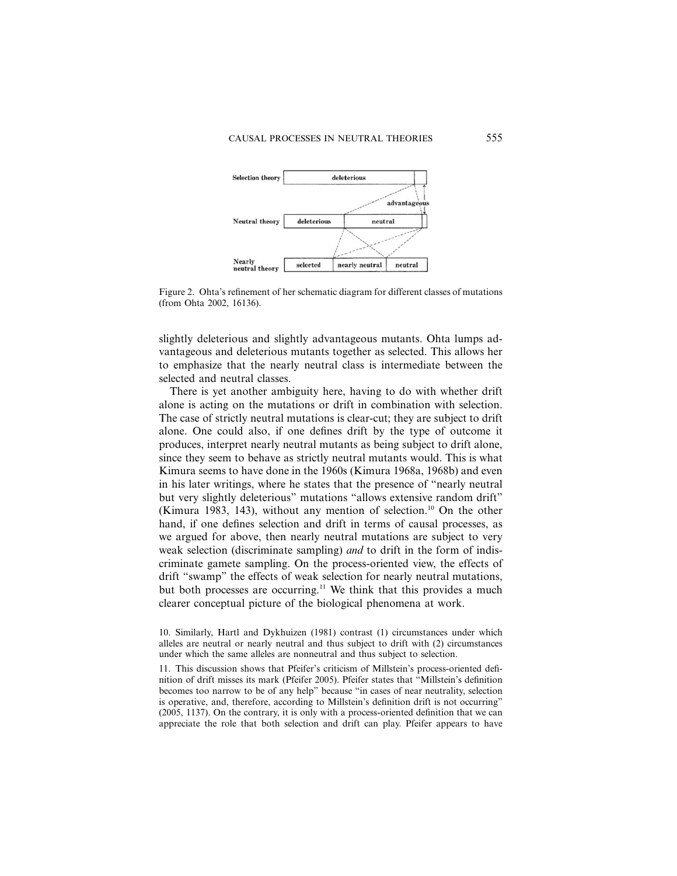

Figure 2. Ohta's refinement of her schematic diagram for different classes of mutations (from Ohta 2002, 16136).

slightly deleterious and slightly advantageous mutants. Ohta lumps advantageous and deleterious mutants together as selected. This allows her to emphasize that the nearly neutral class is intermediate between the selected and neutral classes.

There is yet another ambiguity here, having to do with whether drift alone is acting on the mutations or drift in combination with selection. The case of strictly neutral mutations is clear-cut; they are subject to drift alone. One could also, if one defines drift by the type of outcome it produces, interpret nearly neutral mutants as being subject to drift alone, since they seem to behave as strictly neutral mutants would. This is what Kimura seems to have done in the 1960s (Kimura 1968a, 1968b) and even in his later writings, where he states that the presence of "nearly neutral but very slightly deleterious" mutations "allows extensive random drift" (Kimura 1983, 143), without any mention of selection.<sup>10</sup> On the other hand, if one defines selection and drift in terms of causal processes, as we argued for above, then nearly neutral mutations are subject to very weak selection (discriminate sampling) *and* to drift in the form of indiscriminate gamete sampling. On the process-oriented view, the effects of drift "swamp" the effects of weak selection for nearly neutral mutations, but both processes are occurring.<sup>11</sup> We think that this provides a much clearer conceptual picture of the biological phenomena at work.

10. Similarly, Hartl and Dykhuizen (1981) contrast (1) circumstances under which alleles are neutral or nearly neutral and thus subject to drift with (2) circumstances under which the same alleles are nonneutral and thus subject to selection.

11. This discussion shows that Pfeifer's criticism of Millstein's process-oriented definition of drift misses its mark (Pfeifer 2005). Pfeifer states that "Millstein's definition becomes too narrow to be of any help" because "in cases of near neutrality, selection is operative, and, therefore, according to Millstein's definition drift is not occurring" (2005, 1137). On the contrary, it is only with a process-oriented definition that we can appreciate the role that both selection and drift can play. Pfeifer appears to have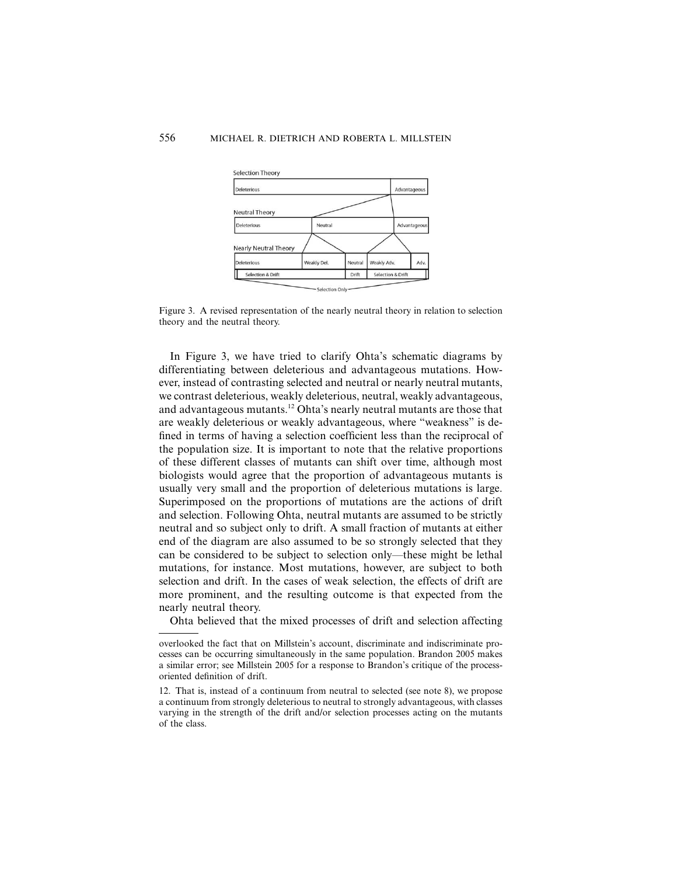## 556 MICHAEL R. DIETRICH AND ROBERTA L. MILLSTEIN



Figure 3. A revised representation of the nearly neutral theory in relation to selection theory and the neutral theory.

In Figure 3, we have tried to clarify Ohta's schematic diagrams by differentiating between deleterious and advantageous mutations. However, instead of contrasting selected and neutral or nearly neutral mutants, we contrast deleterious, weakly deleterious, neutral, weakly advantageous, and advantageous mutants.12 Ohta's nearly neutral mutants are those that are weakly deleterious or weakly advantageous, where "weakness" is defined in terms of having a selection coefficient less than the reciprocal of the population size. It is important to note that the relative proportions of these different classes of mutants can shift over time, although most biologists would agree that the proportion of advantageous mutants is usually very small and the proportion of deleterious mutations is large. Superimposed on the proportions of mutations are the actions of drift and selection. Following Ohta, neutral mutants are assumed to be strictly neutral and so subject only to drift. A small fraction of mutants at either end of the diagram are also assumed to be so strongly selected that they can be considered to be subject to selection only—these might be lethal mutations, for instance. Most mutations, however, are subject to both selection and drift. In the cases of weak selection, the effects of drift are more prominent, and the resulting outcome is that expected from the nearly neutral theory.

Ohta believed that the mixed processes of drift and selection affecting

overlooked the fact that on Millstein's account, discriminate and indiscriminate processes can be occurring simultaneously in the same population. Brandon 2005 makes a similar error; see Millstein 2005 for a response to Brandon's critique of the processoriented definition of drift.

<sup>12.</sup> That is, instead of a continuum from neutral to selected (see note 8), we propose a continuum from strongly deleterious to neutral to strongly advantageous, with classes varying in the strength of the drift and/or selection processes acting on the mutants of the class.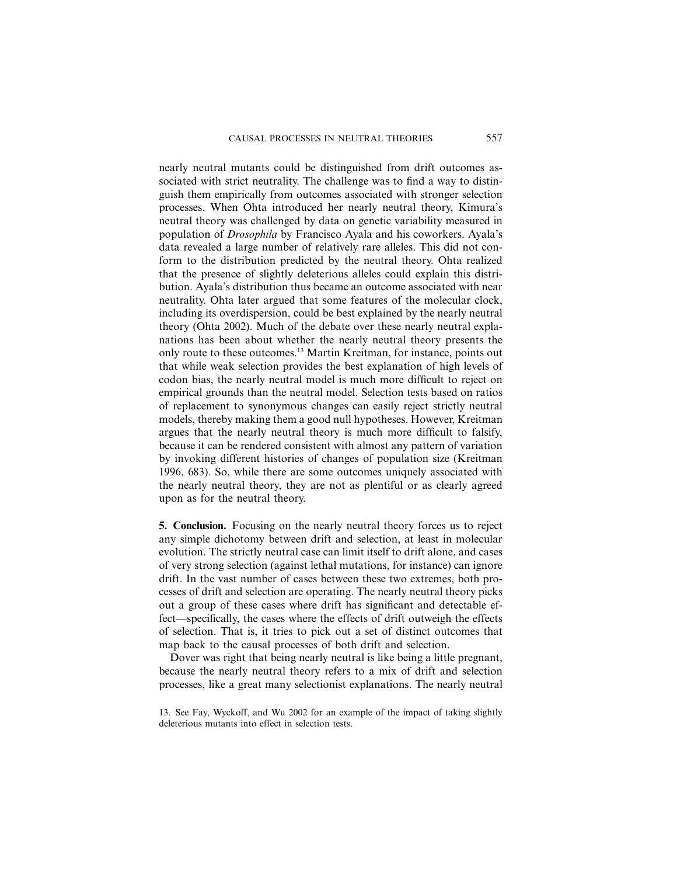nearly neutral mutants could be distinguished from drift outcomes associated with strict neutrality. The challenge was to find a way to distinguish them empirically from outcomes associated with stronger selection processes. When Ohta introduced her nearly neutral theory, Kimura's neutral theory was challenged by data on genetic variability measured in population of *Drosophila* by Francisco Ayala and his coworkers. Ayala's data revealed a large number of relatively rare alleles. This did not conform to the distribution predicted by the neutral theory. Ohta realized that the presence of slightly deleterious alleles could explain this distribution. Ayala's distribution thus became an outcome associated with near neutrality. Ohta later argued that some features of the molecular clock, including its overdispersion, could be best explained by the nearly neutral theory (Ohta 2002). Much of the debate over these nearly neutral explanations has been about whether the nearly neutral theory presents the only route to these outcomes.13 Martin Kreitman, for instance, points out that while weak selection provides the best explanation of high levels of codon bias, the nearly neutral model is much more difficult to reject on empirical grounds than the neutral model. Selection tests based on ratios of replacement to synonymous changes can easily reject strictly neutral models, thereby making them a good null hypotheses. However, Kreitman argues that the nearly neutral theory is much more difficult to falsify, because it can be rendered consistent with almost any pattern of variation by invoking different histories of changes of population size (Kreitman 1996, 683). So, while there are some outcomes uniquely associated with the nearly neutral theory, they are not as plentiful or as clearly agreed upon as for the neutral theory.

**5. Conclusion.** Focusing on the nearly neutral theory forces us to reject any simple dichotomy between drift and selection, at least in molecular evolution. The strictly neutral case can limit itself to drift alone, and cases of very strong selection (against lethal mutations, for instance) can ignore drift. In the vast number of cases between these two extremes, both processes of drift and selection are operating. The nearly neutral theory picks out a group of these cases where drift has significant and detectable effect—specifically, the cases where the effects of drift outweigh the effects of selection. That is, it tries to pick out a set of distinct outcomes that map back to the causal processes of both drift and selection.

Dover was right that being nearly neutral is like being a little pregnant, because the nearly neutral theory refers to a mix of drift and selection processes, like a great many selectionist explanations. The nearly neutral

<sup>13.</sup> See Fay, Wyckoff, and Wu 2002 for an example of the impact of taking slightly deleterious mutants into effect in selection tests.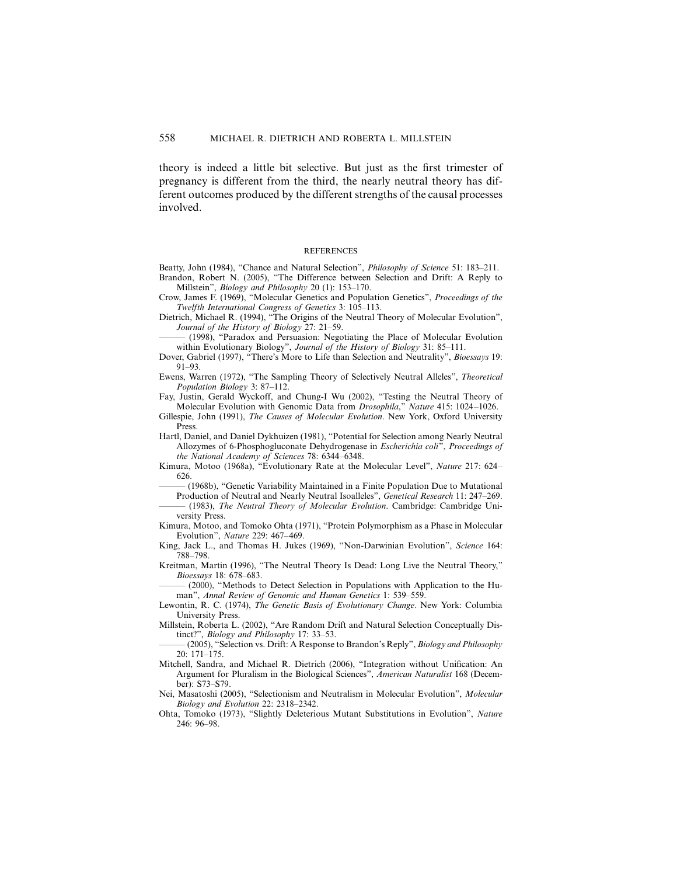theory is indeed a little bit selective. But just as the first trimester of pregnancy is different from the third, the nearly neutral theory has different outcomes produced by the different strengths of the causal processes involved.

## REFERENCES

Beatty, John (1984), "Chance and Natural Selection", *Philosophy of Science* 51: 183–211. Brandon, Robert N. (2005), "The Difference between Selection and Drift: A Reply to Millstein", *Biology and Philosophy* 20 (1): 153–170.

Crow, James F. (1969), "Molecular Genetics and Population Genetics", *Proceedings of the Twelfth International Congress of Genetics* 3: 105–113.

Dietrich, Michael R. (1994), "The Origins of the Neutral Theory of Molecular Evolution", *Journal of the History of Biology* 27: 21–59.

——— (1998), "Paradox and Persuasion: Negotiating the Place of Molecular Evolution within Evolutionary Biology", *Journal of the History of Biology* 31: 85–111.

Dover, Gabriel (1997), "There's More to Life than Selection and Neutrality", *Bioessays* 19: 91–93.

Ewens, Warren (1972), "The Sampling Theory of Selectively Neutral Alleles", *Theoretical Population Biology* 3: 87–112.

Fay, Justin, Gerald Wyckoff, and Chung-I Wu (2002), "Testing the Neutral Theory of Molecular Evolution with Genomic Data from *Drosophila*," *Nature* 415: 1024–1026.

Gillespie, John (1991), *The Causes of Molecular Evolution*. New York, Oxford University Press.

Hartl, Daniel, and Daniel Dykhuizen (1981), "Potential for Selection among Nearly Neutral Allozymes of 6-Phosphogluconate Dehydrogenase in *Escherichia coli*", *Proceedings of the National Academy of Sciences* 78: 6344–6348.

Kimura, Motoo (1968a), "Evolutionary Rate at the Molecular Level", *Nature* 217: 624– 626.

——— (1968b), "Genetic Variability Maintained in a Finite Population Due to Mutational

Production of Neutral and Nearly Neutral Isoalleles", *Genetical Research* 11: 247–269. ——— (1983), *The Neutral Theory of Molecular Evolution*. Cambridge: Cambridge University Press.

Kimura, Motoo, and Tomoko Ohta (1971), "Protein Polymorphism as a Phase in Molecular Evolution", *Nature* 229: 467–469.

King, Jack L., and Thomas H. Jukes (1969), "Non-Darwinian Evolution", *Science* 164: 788–798.

Kreitman, Martin (1996), "The Neutral Theory Is Dead: Long Live the Neutral Theory," *Bioessays* 18: 678–683.

(2000), "Methods to Detect Selection in Populations with Application to the Human", *Annal Review of Genomic and Human Genetics* 1: 539–559.

Lewontin, R. C. (1974), *The Genetic Basis of Evolutionary Change*. New York: Columbia University Press.

Millstein, Roberta L. (2002), "Are Random Drift and Natural Selection Conceptually Distinct?", *Biology and Philosophy* 17: 33–53.

——— (2005), "Selection vs. Drift: A Response to Brandon's Reply", *Biology and Philosophy* 20: 171–175.

Mitchell, Sandra, and Michael R. Dietrich (2006), "Integration without Unification: An Argument for Pluralism in the Biological Sciences", *American Naturalist* 168 (December): S73–S79.

Nei, Masatoshi (2005), "Selectionism and Neutralism in Molecular Evolution", *Molecular Biology and Evolution* 22: 2318–2342.

Ohta, Tomoko (1973), "Slightly Deleterious Mutant Substitutions in Evolution", *Nature* 246: 96–98.